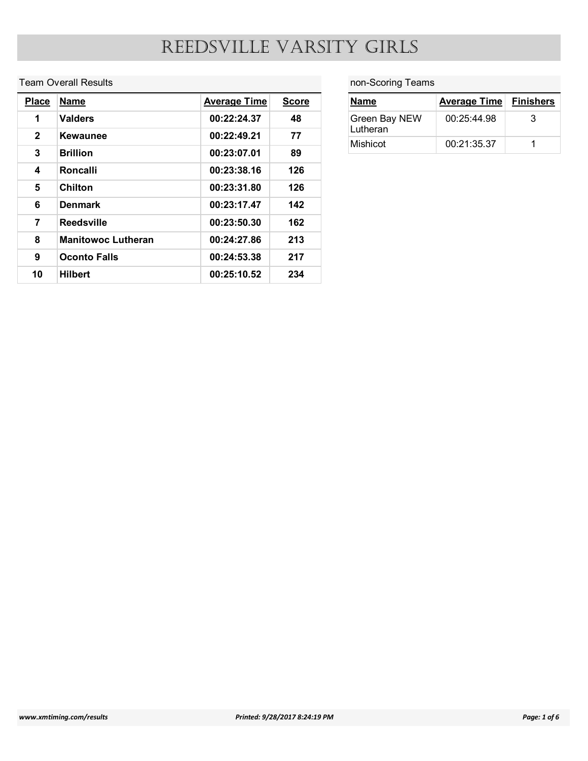#### Team Overall Results

|                                         |                             | REEDSVILLE VARSITY GIRLS   |              |                           |                     |                  |
|-----------------------------------------|-----------------------------|----------------------------|--------------|---------------------------|---------------------|------------------|
|                                         | <b>Team Overall Results</b> |                            |              | non-Scoring Teams         |                     |                  |
|                                         |                             |                            |              |                           |                     |                  |
|                                         |                             |                            |              |                           |                     |                  |
| <b>Place</b>                            | <b>Name</b>                 | <b>Average Time</b>        | <b>Score</b> | <b>Name</b>               | <b>Average Time</b> |                  |
| $\mathbf{1}$                            | <b>Valders</b>              | 00:22:24.37                | 48           | Green Bay NEW<br>Lutheran | 00:25:44.98         | 3                |
| $\mathbf{2}$                            | <b>Kewaunee</b>             | 00:22:49.21                | 77           | Mishicot                  | 00:21:35.37         | $\mathbf{1}$     |
| $\mathbf{3}$<br>$\overline{\mathbf{4}}$ | <b>Brillion</b><br>Roncalli | 00:23:07.01<br>00:23:38.16 | 89<br>126    |                           |                     |                  |
| $5\phantom{.0}$                         | Chilton                     | 00:23:31.80                | 126          |                           |                     | <b>Finishers</b> |
| 6                                       | <b>Denmark</b>              | 00:23:17.47                | 142          |                           |                     |                  |
| $\overline{7}$                          | <b>Reedsville</b>           | 00:23:50.30                | 162          |                           |                     |                  |
| 8                                       | <b>Manitowoc Lutheran</b>   | 00:24:27.86                | 213          |                           |                     |                  |
| $\mathbf{9}$                            | <b>Oconto Falls</b>         | 00:24:53.38                | 217          |                           |                     |                  |

#### non-Scoring Teams

| <b>Average Time</b> | <b>Finishers</b>  |
|---------------------|-------------------|
| 00:25:44.98         | 3                 |
| 00:21:35.37         | $\mathbf{1}$      |
|                     | non-Scoring Teams |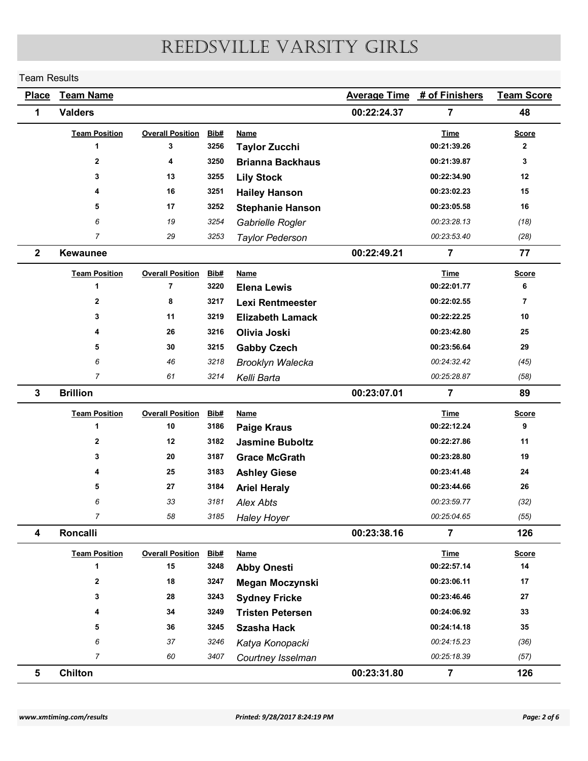#### Team Results

| <b>Team Results</b> |                      |                               |              |                                    | REEDSVILLE VARSITY GIRLS |                               |                   |
|---------------------|----------------------|-------------------------------|--------------|------------------------------------|--------------------------|-------------------------------|-------------------|
|                     |                      |                               |              |                                    |                          |                               |                   |
| <b>Place</b>        | <b>Team Name</b>     |                               |              |                                    | <b>Average Time</b>      | # of Finishers                | <b>Team Score</b> |
| 1                   | <b>Valders</b>       |                               |              |                                    | 00:22:24.37              | $\overline{7}$                | 48                |
|                     | <b>Team Position</b> | <b>Overall Position</b>       | Bib#         | <b>Name</b>                        |                          | <b>Time</b>                   | <b>Score</b>      |
|                     | $\blacktriangleleft$ | 3                             | 3256         | <b>Taylor Zucchi</b>               |                          | 00:21:39.26                   | $\mathbf{2}$      |
|                     | $\mathbf{2}$         | 4                             | 3250         | <b>Brianna Backhaus</b>            |                          | 00:21:39.87                   | 3                 |
|                     | $\mathbf{3}$         | 13                            | 3255         | <b>Lily Stock</b>                  |                          | 00:22:34.90                   | 12                |
|                     | 4                    | 16                            | 3251         | <b>Hailey Hanson</b>               |                          | 00:23:02.23                   | 15                |
|                     | 5                    | 17                            | 3252         | <b>Stephanie Hanson</b>            |                          | 00:23:05.58                   | 16                |
|                     | 6<br>$\overline{7}$  | 19                            | 3254         | Gabrielle Rogler                   |                          | 00:23:28.13                   | (18)              |
|                     | <b>Kewaunee</b>      | 29                            | 3253         | <b>Taylor Pederson</b>             | 00:22:49.21              | 00:23:53.40<br>$\overline{7}$ | (28)<br>77        |
| $\overline{2}$      |                      |                               |              |                                    |                          |                               |                   |
|                     | <b>Team Position</b> | <b>Overall Position</b>       | Bib#         | <b>Name</b>                        |                          | <b>Time</b>                   | <b>Score</b>      |
|                     | $\blacktriangleleft$ | $\overline{7}$                | 3220         | <b>Elena Lewis</b>                 |                          | 00:22:01.77                   | 6                 |
|                     | $\mathbf{2}$         | 8                             | 3217         | Lexi Rentmeester                   |                          | 00:22:02.55<br>00:22:22.25    | $\overline{7}$    |
|                     | 3<br>4               | 11<br>26                      | 3219<br>3216 | <b>Elizabeth Lamack</b>            |                          | 00:23:42.80                   | 10<br>25          |
|                     | 5                    | 30                            | 3215         | Olivia Joski<br><b>Gabby Czech</b> |                          | 00:23:56.64                   | 29                |
|                     | 6                    | 46                            | 3218         | Brooklyn Walecka                   |                          | 00:24:32.42                   | (45)              |
|                     | $\overline{7}$       | 61                            | 3214         | Kelli Barta                        |                          | 00:25:28.87                   | (58)              |
| $\mathbf{3}$        | <b>Brillion</b>      |                               |              |                                    | 00:23:07.01              | $\overline{7}$                | 89                |
|                     |                      |                               |              |                                    |                          |                               |                   |
|                     | <b>Team Position</b> | <b>Overall Position</b><br>10 | Bib#<br>3186 | <b>Name</b><br><b>Paige Kraus</b>  |                          | <b>Time</b><br>00:22:12.24    | <b>Score</b><br>9 |
|                     | $\mathbf{2}$         | 12                            | 3182         | <b>Jasmine Buboltz</b>             |                          | 00:22:27.86                   | 11                |
|                     | 3                    | 20                            | 3187         | <b>Grace McGrath</b>               |                          | 00:23:28.80                   | 19                |
|                     |                      | 25                            | 3183         | <b>Ashley Giese</b>                |                          | 00:23:41.48                   | 24                |
|                     | 5                    | 27                            | 3184         | <b>Ariel Heraly</b>                |                          | 00:23:44.66                   | 26                |
|                     | 6                    | 33                            | 3181         | Alex Abts                          |                          | 00:23:59.77                   | (32)              |
|                     | $\overline{7}$       | 58                            | 3185         | <b>Haley Hoyer</b>                 |                          | 00:25:04.65                   | (55)              |
| 4                   | Roncalli             |                               |              |                                    | 00:23:38.16              | $\overline{7}$                | 126               |
|                     | <b>Team Position</b> | <b>Overall Position</b>       | Bib#         | <b>Name</b>                        |                          | <b>Time</b>                   | <b>Score</b>      |
|                     | -1                   | 15                            | 3248         | <b>Abby Onesti</b>                 |                          | 00:22:57.14                   | 14                |
|                     | $\mathbf{2}$         | 18                            | 3247         | Megan Moczynski                    |                          | 00:23:06.11                   | 17                |
|                     | 3                    | 28                            | 3243         | <b>Sydney Fricke</b>               |                          | 00:23:46.46                   | 27                |
|                     | 4                    | 34                            | 3249         | <b>Tristen Petersen</b>            |                          | 00:24:06.92                   | 33                |
|                     | 5                    | 36                            | 3245         | <b>Szasha Hack</b>                 |                          | 00:24:14.18                   | 35                |
|                     | 6                    | $37\,$                        | 3246         | Katya Konopacki                    |                          | 00:24:15.23                   | (36)              |
|                     | $\overline{7}$       | 60                            | 3407         | Courtney Isselman                  |                          | 00:25:18.39                   | (57)              |
| $5\phantom{.0}$     | Chilton              |                               |              |                                    | 00:23:31.80              | $\overline{7}$                | 126               |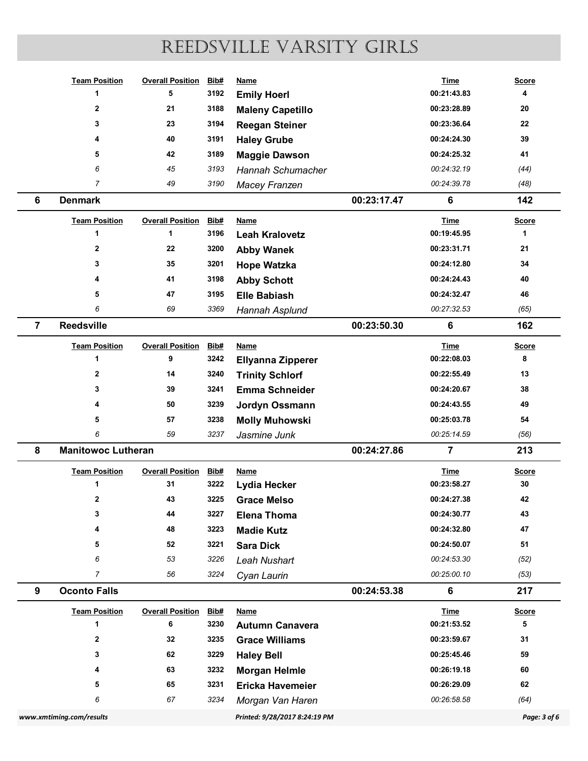|                |                           |                         |      | REEDSVILLE VARSITY GIRLS |             |                |                |
|----------------|---------------------------|-------------------------|------|--------------------------|-------------|----------------|----------------|
|                |                           |                         |      |                          |             |                |                |
|                | <b>Team Position</b>      | <b>Overall Position</b> | Bib# | <b>Name</b>              |             | <b>Time</b>    | <b>Score</b>   |
|                | $\overline{\mathbf{1}}$   | 5                       | 3192 | <b>Emily Hoerl</b>       |             | 00:21:43.83    | 4              |
|                | $\overline{\mathbf{2}}$   | 21                      | 3188 | <b>Maleny Capetillo</b>  |             | 00:23:28.89    | 20             |
|                | 3                         | 23                      | 3194 | <b>Reegan Steiner</b>    |             | 00:23:36.64    | 22             |
|                |                           | 40                      | 3191 | <b>Haley Grube</b>       |             | 00:24:24.30    | 39             |
|                | 5                         | 42                      | 3189 | <b>Maggie Dawson</b>     |             | 00:24:25.32    | 41             |
|                | 6                         | 45                      | 3193 | Hannah Schumacher        |             | 00:24:32.19    | (44)           |
|                | $\overline{7}$            | 49                      | 3190 | Macey Franzen            |             | 00:24:39.78    | (48)           |
| 6              | <b>Denmark</b>            |                         |      |                          | 00:23:17.47 | 6              | 142            |
|                | <b>Team Position</b>      | <b>Overall Position</b> | Bib# | <b>Name</b>              |             | <b>Time</b>    | <b>Score</b>   |
|                | -1                        | $\mathbf{1}$            | 3196 | <b>Leah Kralovetz</b>    |             | 00:19:45.95    | $\overline{1}$ |
|                | $\overline{\mathbf{2}}$   | 22                      | 3200 | <b>Abby Wanek</b>        |             | 00:23:31.71    | 21             |
|                | 3                         | 35                      | 3201 | <b>Hope Watzka</b>       |             | 00:24:12.80    | 34             |
|                |                           | 41                      | 3198 | <b>Abby Schott</b>       |             | 00:24:24.43    | 40             |
|                | 5                         | 47                      | 3195 | <b>Elle Babiash</b>      |             | 00:24:32.47    | 46             |
|                | 6                         | 69                      | 3369 | Hannah Asplund           |             | 00:27:32.53    | (65)           |
| $\overline{7}$ | Reedsville                |                         |      |                          | 00:23:50.30 | 6              | 162            |
|                | <b>Team Position</b>      | <b>Overall Position</b> | Bib# | <b>Name</b>              |             | <b>Time</b>    | <b>Score</b>   |
|                | -1                        | 9                       | 3242 | <b>Ellyanna Zipperer</b> |             | 00:22:08.03    | 8              |
|                | $\overline{\mathbf{2}}$   | 14                      | 3240 | <b>Trinity Schlorf</b>   |             | 00:22:55.49    | 13             |
|                | 3                         | 39                      | 3241 | <b>Emma Schneider</b>    |             | 00:24:20.67    | ${\bf 38}$     |
|                |                           | 50                      | 3239 | Jordyn Ossmann           |             | 00:24:43.55    | 49             |
|                | 5                         | ${\bf 57}$              | 3238 | <b>Molly Muhowski</b>    |             | 00:25:03.78    | 54             |
|                | 6                         | 59                      | 3237 | Jasmine Junk             |             | 00:25:14.59    | (56)           |
| 8              | <b>Manitowoc Lutheran</b> |                         |      |                          | 00:24:27.86 | $\overline{7}$ | 213            |
|                | <b>Team Position</b>      | <b>Overall Position</b> | Bib# | <b>Name</b>              |             | <b>Time</b>    | <b>Score</b>   |
|                | $\overline{\mathbf{1}}$   | 31                      | 3222 | Lydia Hecker             |             | 00:23:58.27    | $30\,$         |
|                | $\mathbf{2}$              | 43                      | 3225 | <b>Grace Melso</b>       |             | 00:24:27.38    | 42             |
|                | 3                         | 44                      | 3227 | <b>Elena Thoma</b>       |             | 00:24:30.77    | 43             |
|                |                           | 48                      | 3223 | <b>Madie Kutz</b>        |             | 00:24:32.80    | 47             |
|                | 5                         | ${\bf 52}$              | 3221 | <b>Sara Dick</b>         |             | 00:24:50.07    | 51             |
|                | 6                         | 53                      | 3226 | Leah Nushart             |             | 00:24:53.30    | (52)           |
|                | $\overline{7}$            | 56                      | 3224 | Cyan Laurin              |             | 00:25:00.10    | (53)           |
| 9              | <b>Oconto Falls</b>       |                         |      |                          | 00:24:53.38 | 6              | 217            |
|                | <b>Team Position</b>      | <b>Overall Position</b> | Bib# | <b>Name</b>              |             | <b>Time</b>    | <b>Score</b>   |
|                | -1                        | 6                       | 3230 | <b>Autumn Canavera</b>   |             | 00:21:53.52    | 5              |
|                | $\overline{\mathbf{2}}$   | 32                      | 3235 | <b>Grace Williams</b>    |             | 00:23:59.67    | 31             |
|                | 3                         | 62                      | 3229 | <b>Haley Bell</b>        |             | 00:25:45.46    | 59             |
|                |                           | 63                      | 3232 | <b>Morgan Helmle</b>     |             | 00:26:19.18    | 60             |
|                | 5                         | 65                      | 3231 | Ericka Havemeier         |             | 00:26:29.09    | 62             |
|                | 6                         | 67                      | 3234 | Morgan Van Haren         |             | 00:26:58.58    | (64)           |
|                |                           |                         |      |                          |             |                |                |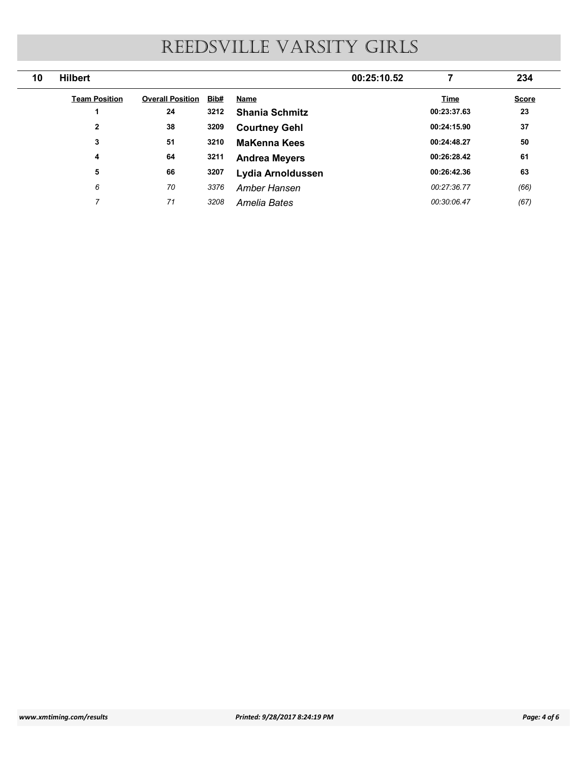|    |                      |                              |      | REEDSVILLE VARSITY GIRLS |                |                    |
|----|----------------------|------------------------------|------|--------------------------|----------------|--------------------|
| 10 | <b>Hilbert</b>       |                              |      | 00:25:10.52              | $\overline{7}$ | 234                |
|    | <b>Team Position</b> | <b>Overall Position Bib#</b> |      | <b>Name</b>              | <b>Time</b>    |                    |
|    | $\overline{1}$       | 24                           | 3212 | <b>Shania Schmitz</b>    | 00:23:37.63    | 23                 |
|    | $\overline{2}$       | 38                           | 3209 | <b>Courtney Gehl</b>     | 00:24:15.90    | 37                 |
|    | $\mathbf{3}$         | 51                           | 3210 | <b>MaKenna Kees</b>      | 00:24:48.27    | <b>Score</b><br>50 |
|    | $\overline{4}$       | 64                           | 3211 | <b>Andrea Meyers</b>     | 00:26:28.42    | 61                 |
|    | 5                    | 66                           | 3207 | Lydia Arnoldussen        | 00:26:42.36    | 63                 |
|    | 6                    | 70                           | 3376 | Amber Hansen             | 00:27:36.77    | (66)               |
|    | $\overline{7}$       | 71                           | 3208 | Amelia Bates             | 00:30:06.47    | (67)               |
|    |                      |                              |      |                          |                |                    |
|    |                      |                              |      |                          |                |                    |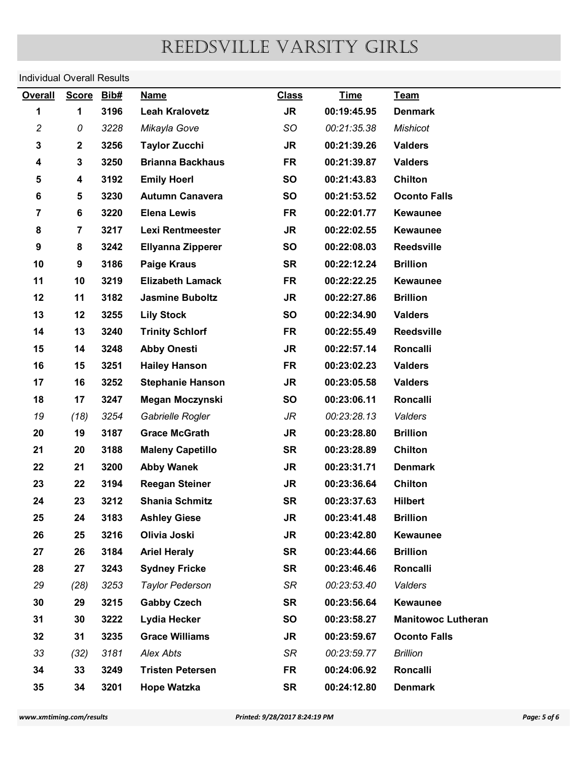# Individual Overall Results

| <b>Overall</b>           |                | <b>Individual Overall Results</b> |                                            |                               |                            |                                  |              |
|--------------------------|----------------|-----------------------------------|--------------------------------------------|-------------------------------|----------------------------|----------------------------------|--------------|
|                          | <b>Score</b>   | Bib#                              | <b>Name</b>                                | <b>Class</b>                  | <b>Time</b>                | Team                             |              |
| 1                        | 1              | 3196                              | <b>Leah Kralovetz</b>                      | <b>JR</b>                     | 00:19:45.95                | <b>Denmark</b>                   |              |
| $\overline{c}$           | 0              | 3228                              | Mikayla Gove                               | SO.                           | 00:21:35.38                | <b>Mishicot</b>                  |              |
| 3                        | $\mathbf{2}$   | 3256                              | <b>Taylor Zucchi</b>                       | <b>JR</b>                     | 00:21:39.26                | <b>Valders</b>                   |              |
| 4                        | 3              | 3250                              | <b>Brianna Backhaus</b>                    | <b>FR</b>                     | 00:21:39.87                | <b>Valders</b>                   |              |
| 5                        | 4              | 3192                              | <b>Emily Hoerl</b>                         | <b>SO</b>                     | 00:21:43.83                | Chilton                          |              |
| 6                        | 5              | 3230                              | <b>Autumn Canavera</b>                     | <b>SO</b>                     | 00:21:53.52                | <b>Oconto Falls</b>              |              |
| $\overline{7}$           | 6              | 3220                              | <b>Elena Lewis</b>                         | <b>FR</b>                     | 00:22:01.77                | <b>Kewaunee</b>                  |              |
| 8                        | $\overline{7}$ | 3217                              | <b>Lexi Rentmeester</b>                    | <b>JR</b>                     | 00:22:02.55                | <b>Kewaunee</b>                  |              |
| 9                        | 8              | 3242                              | <b>Ellyanna Zipperer</b>                   | <b>SO</b>                     | 00:22:08.03                | <b>Reedsville</b>                |              |
| 10                       | 9              | 3186                              | <b>Paige Kraus</b>                         | <b>SR</b>                     | 00:22:12.24                | <b>Brillion</b>                  |              |
| 11                       | 10             | 3219                              | <b>Elizabeth Lamack</b>                    | <b>FR</b>                     | 00:22:22.25                | <b>Kewaunee</b>                  |              |
| 12                       | 11             | 3182                              | <b>Jasmine Buboltz</b>                     | <b>JR</b>                     | 00:22:27.86                | <b>Brillion</b>                  |              |
| 13                       | 12             | 3255                              | <b>Lily Stock</b>                          | <b>SO</b>                     | 00:22:34.90                | <b>Valders</b>                   |              |
| 14                       | 13             | 3240                              | <b>Trinity Schlorf</b>                     | <b>FR</b>                     | 00:22:55.49                | <b>Reedsville</b>                |              |
| 15                       | 14             | 3248                              | <b>Abby Onesti</b>                         | <b>JR</b>                     | 00:22:57.14                | Roncalli                         |              |
| 16                       | 15             | 3251                              | <b>Hailey Hanson</b>                       | <b>FR</b>                     | 00:23:02.23                | <b>Valders</b>                   |              |
| 17                       | 16             | 3252                              | <b>Stephanie Hanson</b>                    | <b>JR</b>                     | 00:23:05.58                | <b>Valders</b>                   |              |
| 18                       | 17             | 3247                              | Megan Moczynski                            | SO                            | 00:23:06.11                | Roncalli                         |              |
| 19                       | (18)           | 3254                              | Gabrielle Rogler                           | JR                            | 00:23:28.13                | Valders                          |              |
| 20                       | 19             | 3187                              | <b>Grace McGrath</b>                       | <b>JR</b>                     | 00:23:28.80                | <b>Brillion</b>                  |              |
| 21                       | 20             | 3188                              | <b>Maleny Capetillo</b>                    | <b>SR</b>                     | 00:23:28.89                | <b>Chilton</b>                   |              |
| 22<br>23                 | 21<br>22       | 3200<br>3194                      | <b>Abby Wanek</b><br><b>Reegan Steiner</b> | <b>JR</b><br><b>JR</b>        | 00:23:31.71<br>00:23:36.64 | <b>Denmark</b><br><b>Chilton</b> |              |
| 24                       | 23             | 3212                              | <b>Shania Schmitz</b>                      | <b>SR</b>                     | 00:23:37.63                | <b>Hilbert</b>                   |              |
| 25                       | 24             | 3183                              | <b>Ashley Giese</b>                        | <b>JR</b>                     | 00:23:41.48                | <b>Brillion</b>                  |              |
| 26                       | 25             | 3216                              | Olivia Joski                               | <b>JR</b>                     | 00:23:42.80                | Kewaunee                         |              |
| 27                       | 26             | 3184                              | <b>Ariel Heraly</b>                        | <b>SR</b>                     | 00:23:44.66                | <b>Brillion</b>                  |              |
| 28                       | 27             | 3243                              | <b>Sydney Fricke</b>                       | <b>SR</b>                     | 00:23:46.46                | Roncalli                         |              |
| 29                       | (28)           | 3253                              | <b>Taylor Pederson</b>                     | SR                            | 00:23:53.40                | Valders                          |              |
| 30                       | 29             | 3215                              | <b>Gabby Czech</b>                         | <b>SR</b>                     | 00:23:56.64                | Kewaunee                         |              |
| 31                       | 30             | 3222                              | Lydia Hecker                               | SO                            | 00:23:58.27                | <b>Manitowoc Lutheran</b>        |              |
| 32                       | 31             | 3235                              | <b>Grace Williams</b>                      | JR                            | 00:23:59.67                | <b>Oconto Falls</b>              |              |
| 33                       | (32)           | 3181                              | Alex Abts                                  | SR                            | 00:23:59.77                | <b>Brillion</b>                  |              |
| 34                       | 33             | 3249                              | <b>Tristen Petersen</b>                    | <b>FR</b>                     | 00:24:06.92                | Roncalli                         |              |
| 35                       | 34             | 3201                              | <b>Hope Watzka</b>                         | <b>SR</b>                     | 00:24:12.80                | <b>Denmark</b>                   |              |
| www.xmtiming.com/results |                |                                   |                                            | Printed: 9/28/2017 8:24:19 PM |                            |                                  | Page: 5 of 6 |
|                          |                |                                   |                                            |                               |                            |                                  |              |